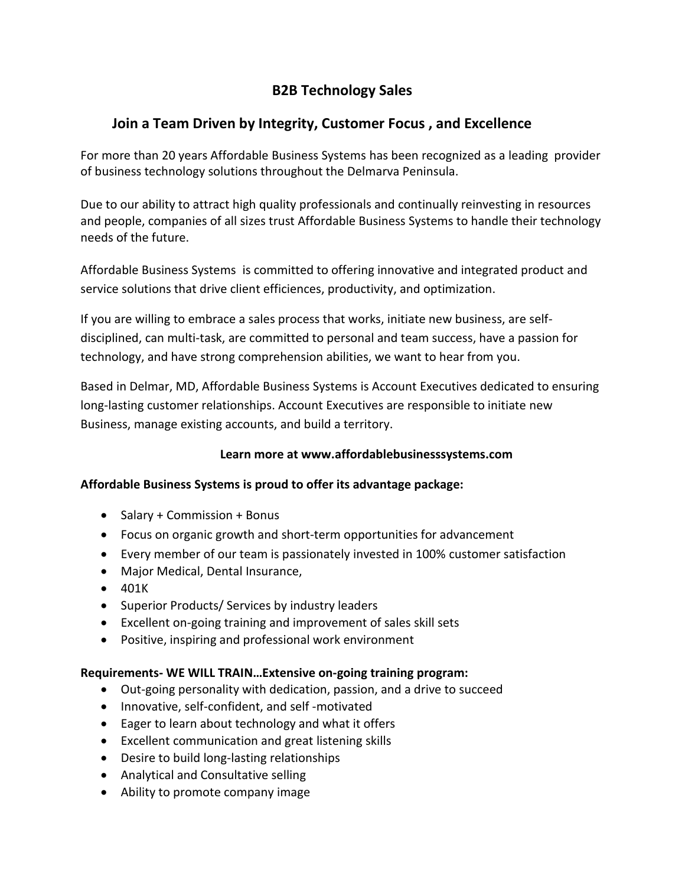# **B2B Technology Sales**

## **Join a Team Driven by Integrity, Customer Focus , and Excellence**

For more than 20 years Affordable Business Systems has been recognized as a leading provider of business technology solutions throughout the Delmarva Peninsula.

Due to our ability to attract high quality professionals and continually reinvesting in resources and people, companies of all sizes trust Affordable Business Systems to handle their technology needs of the future.

Affordable Business Systems is committed to offering innovative and integrated product and service solutions that drive client efficiences, productivity, and optimization.

If you are willing to embrace a sales process that works, initiate new business, are selfdisciplined, can multi-task, are committed to personal and team success, have a passion for technology, and have strong comprehension abilities, we want to hear from you.

Based in Delmar, MD, Affordable Business Systems is Account Executives dedicated to ensuring long-lasting customer relationships. Account Executives are responsible to initiate new Business, manage existing accounts, and build a territory.

## **Learn more at www.affordablebusinesssystems.com**

#### **Affordable Business Systems is proud to offer its advantage package:**

- Salary + Commission + Bonus
- Focus on organic growth and short-term opportunities for advancement
- Every member of our team is passionately invested in 100% customer satisfaction
- Major Medical, Dental Insurance,
- 401K
- Superior Products/ Services by industry leaders
- Excellent on-going training and improvement of sales skill sets
- Positive, inspiring and professional work environment

#### **Requirements- WE WILL TRAIN…Extensive on-going training program:**

- Out-going personality with dedication, passion, and a drive to succeed
- Innovative, self-confident, and self -motivated
- Eager to learn about technology and what it offers
- Excellent communication and great listening skills
- Desire to build long-lasting relationships
- Analytical and Consultative selling
- Ability to promote company image